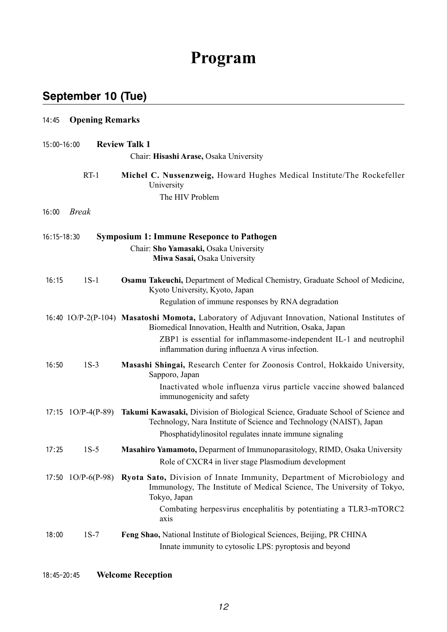# **Program**

### **September 10 (Tue)**

| 14:45       | <b>Opening Remarks</b> |                                                                                                                                                                                                                                                                                        |  |  |
|-------------|------------------------|----------------------------------------------------------------------------------------------------------------------------------------------------------------------------------------------------------------------------------------------------------------------------------------|--|--|
| 15:00-16:00 |                        | <b>Review Talk 1</b><br>Chair: Hisashi Arase, Osaka University                                                                                                                                                                                                                         |  |  |
|             | $RT-1$                 | Michel C. Nussenzweig, Howard Hughes Medical Institute/The Rockefeller<br>University<br>The HIV Problem                                                                                                                                                                                |  |  |
| 16:00       | <b>Break</b>           |                                                                                                                                                                                                                                                                                        |  |  |
| 16:15-18:30 |                        | <b>Symposium 1: Immune Reseponce to Pathogen</b><br>Chair: Sho Yamasaki, Osaka University<br>Miwa Sasai, Osaka University                                                                                                                                                              |  |  |
| 16:15       | $1S-1$                 | Osamu Takeuchi, Department of Medical Chemistry, Graduate School of Medicine,<br>Kyoto University, Kyoto, Japan<br>Regulation of immune responses by RNA degradation                                                                                                                   |  |  |
|             |                        | 16:40 1O/P-2(P-104) Masatoshi Momota, Laboratory of Adjuvant Innovation, National Institutes of<br>Biomedical Innovation, Health and Nutrition, Osaka, Japan<br>ZBP1 is essential for inflammasome-independent IL-1 and neutrophil<br>inflammation during influenza A virus infection. |  |  |
| 16:50       | $1S-3$                 | Masashi Shingai, Research Center for Zoonosis Control, Hokkaido University,<br>Sapporo, Japan<br>Inactivated whole influenza virus particle vaccine showed balanced<br>immunogenicity and safety                                                                                       |  |  |
|             | 17:15 $1O/P-4(P-89)$   | Takumi Kawasaki, Division of Biological Science, Graduate School of Science and<br>Technology, Nara Institute of Science and Technology (NAIST), Japan<br>Phosphatidylinositol regulates innate immune signaling                                                                       |  |  |
| 17:25       | $1S-5$                 | Masahiro Yamamoto, Deparment of Immunoparasitology, RIMD, Osaka University<br>Role of CXCR4 in liver stage Plasmodium development                                                                                                                                                      |  |  |
|             | 17:50 $1O/P-6(P-98)$   | Ryota Sato, Division of Innate Immunity, Department of Microbiology and<br>Immunology, The Institute of Medical Science, The University of Tokyo,<br>Tokyo, Japan<br>Combating herpesvirus encephalitis by potentiating a TLR3-mTORC2<br>axis                                          |  |  |
| 18:00       | $1S-7$                 | Feng Shao, National Institute of Biological Sciences, Beijing, PR CHINA<br>Innate immunity to cytosolic LPS: pyroptosis and beyond                                                                                                                                                     |  |  |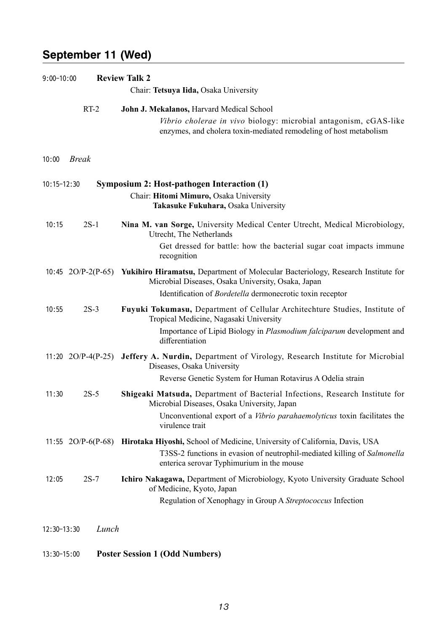#### **September 11 (Wed)**

| $9:00 - 10:00$  |                      | <b>Review Talk 2</b><br>Chair: Tetsuya Iida, Osaka University                                                                                                                                                              |
|-----------------|----------------------|----------------------------------------------------------------------------------------------------------------------------------------------------------------------------------------------------------------------------|
|                 | $RT-2$               | John J. Mekalanos, Harvard Medical School                                                                                                                                                                                  |
|                 |                      | Vibrio cholerae in vivo biology: microbial antagonism, cGAS-like<br>enzymes, and cholera toxin-mediated remodeling of host metabolism                                                                                      |
| 10:00           | <b>Break</b>         |                                                                                                                                                                                                                            |
| $10:15 - 12:30$ |                      | Symposium 2: Host-pathogen Interaction (1)<br>Chair: Hitomi Mimuro, Osaka University<br>Takasuke Fukuhara, Osaka University                                                                                                |
| 10:15           | $2S-1$               | Nina M. van Sorge, University Medical Center Utrecht, Medical Microbiology,<br>Utrecht, The Netherlands<br>Get dressed for battle: how the bacterial sugar coat impacts immune<br>recognition                              |
|                 | 10:45 $2O/P-2(P-65)$ | <b>Yukihiro Hiramatsu, Department of Molecular Bacteriology, Research Institute for</b><br>Microbial Diseases, Osaka University, Osaka, Japan<br>Identification of Bordetella dermonecrotic toxin receptor                 |
| 10:55           | $2S-3$               | Fuyuki Tokumasu, Department of Cellular Architechture Studies, Institute of<br>Tropical Medicine, Nagasaki University<br>Importance of Lipid Biology in Plasmodium falciparum development and<br>differentiation           |
|                 | 11:20 $2O/P-4(P-25)$ | Jeffery A. Nurdin, Department of Virology, Research Institute for Microbial<br>Diseases, Osaka University<br>Reverse Genetic System for Human Rotavirus A Odelia strain                                                    |
| 11:30           | $2S-5$               | Shigeaki Matsuda, Department of Bacterial Infections, Research Institute for<br>Microbial Diseases, Osaka University, Japan<br>Unconventional export of a Vibrio parahaemolyticus toxin facilitates the<br>virulence trait |
|                 | 11:55 $2O/P-6(P-68)$ | Hirotaka Hiyoshi, School of Medicine, University of California, Davis, USA<br>T3SS-2 functions in evasion of neutrophil-mediated killing of Salmonella<br>enterica serovar Typhimurium in the mouse                        |
| 12:05           | $2S-7$               | Ichiro Nakagawa, Department of Microbiology, Kyoto University Graduate School<br>of Medicine, Kyoto, Japan<br>Regulation of Xenophagy in Group A Streptococcus Infection                                                   |
| 12:30-13:30     | Lunch                |                                                                                                                                                                                                                            |
| 13:30-15:00     |                      | <b>Poster Session 1 (Odd Numbers)</b>                                                                                                                                                                                      |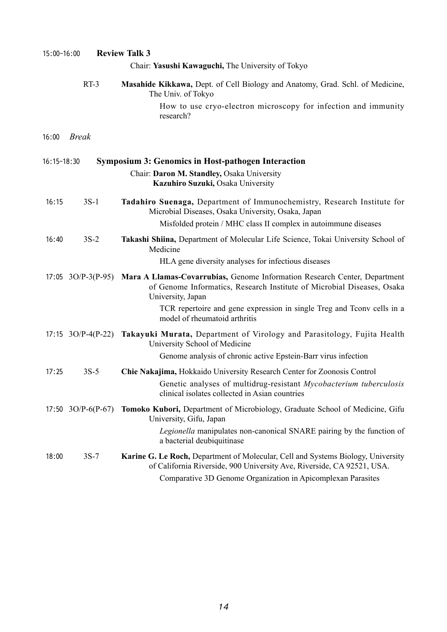| 15:00-16:00  | <b>Review Talk 3</b>                                                                                                                                                                                                                               |  |  |
|--------------|----------------------------------------------------------------------------------------------------------------------------------------------------------------------------------------------------------------------------------------------------|--|--|
|              | Chair: Yasushi Kawaguchi, The University of Tokyo                                                                                                                                                                                                  |  |  |
| $RT-3$       | Masahide Kikkawa, Dept. of Cell Biology and Anatomy, Grad. Schl. of Medicine,<br>The Univ. of Tokyo                                                                                                                                                |  |  |
|              | How to use cryo-electron microscopy for infection and immunity<br>research?                                                                                                                                                                        |  |  |
| <b>Break</b> |                                                                                                                                                                                                                                                    |  |  |
|              | <b>Symposium 3: Genomics in Host-pathogen Interaction</b>                                                                                                                                                                                          |  |  |
|              | Chair: Daron M. Standley, Osaka University<br>Kazuhiro Suzuki, Osaka University                                                                                                                                                                    |  |  |
| $3S-1$       | Tadahiro Suenaga, Department of Immunochemistry, Research Institute for<br>Microbial Diseases, Osaka University, Osaka, Japan                                                                                                                      |  |  |
|              | Misfolded protein / MHC class II complex in autoimmune diseases                                                                                                                                                                                    |  |  |
| $3S-2$       | Takashi Shiina, Department of Molecular Life Science, Tokai University School of<br>Medicine                                                                                                                                                       |  |  |
|              | HLA gene diversity analyses for infectious diseases                                                                                                                                                                                                |  |  |
|              | Mara A Llamas-Covarrubias, Genome Information Research Center, Department<br>of Genome Informatics, Research Institute of Microbial Diseases, Osaka<br>University, Japan<br>TCR repertoire and gene expression in single Treg and Tconv cells in a |  |  |
|              | model of rheumatoid arthritis                                                                                                                                                                                                                      |  |  |
|              | Takayuki Murata, Department of Virology and Parasitology, Fujita Health<br>University School of Medicine                                                                                                                                           |  |  |
|              | Genome analysis of chronic active Epstein-Barr virus infection                                                                                                                                                                                     |  |  |
| $3S-5$       | Chie Nakajima, Hokkaido University Research Center for Zoonosis Control<br>Genetic analyses of multidrug-resistant Mycobacterium tuberculosis<br>clinical isolates collected in Asian countries                                                    |  |  |
|              | Tomoko Kubori, Department of Microbiology, Graduate School of Medicine, Gifu<br>University, Gifu, Japan                                                                                                                                            |  |  |
|              | Legionella manipulates non-canonical SNARE pairing by the function of<br>a bacterial deubiquitinase                                                                                                                                                |  |  |
| $3S-7$       | Karine G. Le Roch, Department of Molecular, Cell and Systems Biology, University<br>of California Riverside, 900 University Ave, Riverside, CA 92521, USA.<br>Comparative 3D Genome Organization in Apicomplexan Parasites                         |  |  |
|              | 16:15-18:30<br>17:05 $3O/P-3(P-95)$<br>17:15 $3O/P-4(P-22)$<br>17:50 $3O/P-6(P-67)$                                                                                                                                                                |  |  |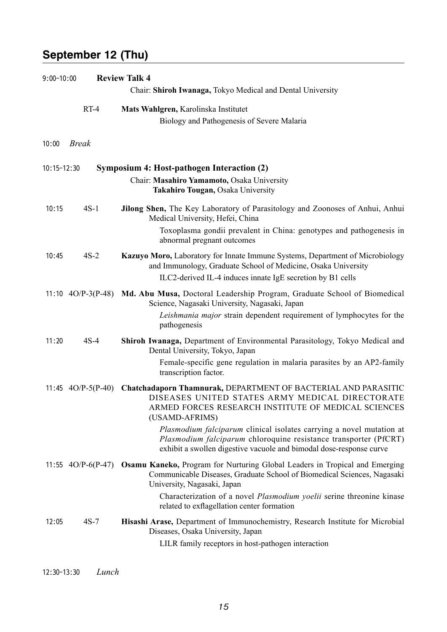### **September 12 (Thu)**

| $9:00 - 10:00$ |                      | <b>Review Talk 4</b><br>Chair: Shiroh Iwanaga, Tokyo Medical and Dental University                                                                                                                                                                                                                                  |  |  |  |
|----------------|----------------------|---------------------------------------------------------------------------------------------------------------------------------------------------------------------------------------------------------------------------------------------------------------------------------------------------------------------|--|--|--|
|                | $RT-4$               | Mats Wahlgren, Karolinska Institutet<br>Biology and Pathogenesis of Severe Malaria                                                                                                                                                                                                                                  |  |  |  |
| 10:00          | <b>Break</b>         |                                                                                                                                                                                                                                                                                                                     |  |  |  |
| 10:15-12:30    |                      | Symposium 4: Host-pathogen Interaction (2)<br>Chair: Masahiro Yamamoto, Osaka University<br>Takahiro Tougan, Osaka University                                                                                                                                                                                       |  |  |  |
| 10:15          | $4S-1$               | Jilong Shen, The Key Laboratory of Parasitology and Zoonoses of Anhui, Anhui<br>Medical University, Hefei, China<br>Toxoplasma gondii prevalent in China: genotypes and pathogenesis in<br>abnormal pregnant outcomes                                                                                               |  |  |  |
| 10:45          | $4S-2$               | Kazuyo Moro, Laboratory for Innate Immune Systems, Department of Microbiology<br>and Immunology, Graduate School of Medicine, Osaka University<br>ILC2-derived IL-4 induces innate IgE secretion by B1 cells                                                                                                        |  |  |  |
|                | 11:10 $4O/P-3(P-48)$ | Md. Abu Musa, Doctoral Leadership Program, Graduate School of Biomedical<br>Science, Nagasaki University, Nagasaki, Japan<br>Leishmania major strain dependent requirement of lymphocytes for the<br>pathogenesis                                                                                                   |  |  |  |
| 11:20          | $4S-4$               | Shiroh Iwanaga, Department of Environmental Parasitology, Tokyo Medical and<br>Dental University, Tokyo, Japan<br>Female-specific gene regulation in malaria parasites by an AP2-family<br>transcription factor.                                                                                                    |  |  |  |
|                | 11:45 $4O/P-5(P-40)$ | Chatchadaporn Thamnurak, DEPARTMENT OF BACTERIAL AND PARASITIC<br>DISEASES UNITED STATES ARMY MEDICAL DIRECTORATE<br>ARMED FORCES RESEARCH INSTITUTE OF MEDICAL SCIENCES<br>(USAMD-AFRIMS)<br><i>Plasmodium falciparum</i> clinical isolates carrying a novel mutation at                                           |  |  |  |
|                |                      | Plasmodium falciparum chloroquine resistance transporter (PfCRT)<br>exhibit a swollen digestive vacuole and bimodal dose-response curve                                                                                                                                                                             |  |  |  |
|                | 11:55 $4O/P-6(P-47)$ | <b>Osamu Kaneko, Program for Nurturing Global Leaders in Tropical and Emerging</b><br>Communicable Diseases, Graduate School of Biomedical Sciences, Nagasaki<br>University, Nagasaki, Japan<br>Characterization of a novel Plasmodium yoelii serine threonine kinase<br>related to exflagellation center formation |  |  |  |
| 12:05          | $4S-7$               | Hisashi Arase, Department of Immunochemistry, Research Institute for Microbial<br>Diseases, Osaka University, Japan<br>LILR family receptors in host-pathogen interaction                                                                                                                                           |  |  |  |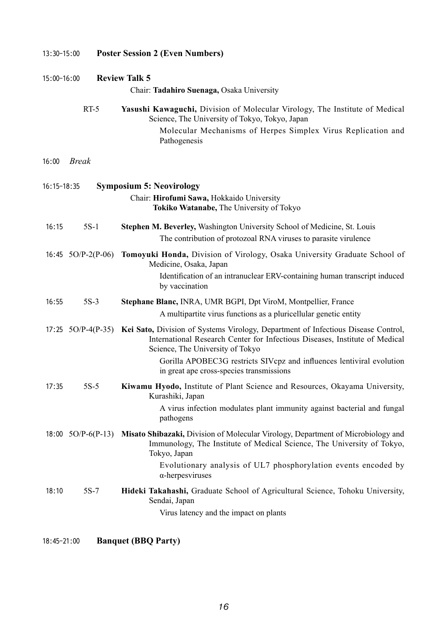| 13:30-15:00<br>15:00-16:00 |                      | <b>Poster Session 2 (Even Numbers)</b><br><b>Review Talk 5</b>                                                                                                                                                          |  |  |
|----------------------------|----------------------|-------------------------------------------------------------------------------------------------------------------------------------------------------------------------------------------------------------------------|--|--|
|                            |                      |                                                                                                                                                                                                                         |  |  |
|                            | $RT-5$               | Yasushi Kawaguchi, Division of Molecular Virology, The Institute of Medical<br>Science, The University of Tokyo, Tokyo, Japan                                                                                           |  |  |
|                            |                      | Molecular Mechanisms of Herpes Simplex Virus Replication and<br>Pathogenesis                                                                                                                                            |  |  |
| 16:00                      | <b>Break</b>         |                                                                                                                                                                                                                         |  |  |
| 16:15-18:35                |                      | <b>Symposium 5: Neovirology</b>                                                                                                                                                                                         |  |  |
|                            |                      | Chair: Hirofumi Sawa, Hokkaido University<br>Tokiko Watanabe, The University of Tokyo                                                                                                                                   |  |  |
| 16:15                      | $5S-1$               | Stephen M. Beverley, Washington University School of Medicine, St. Louis                                                                                                                                                |  |  |
|                            |                      | The contribution of protozoal RNA viruses to parasite virulence                                                                                                                                                         |  |  |
|                            | 16:45 $5O/P-2(P-06)$ | Tomoyuki Honda, Division of Virology, Osaka University Graduate School of<br>Medicine, Osaka, Japan                                                                                                                     |  |  |
|                            |                      | Identification of an intranuclear ERV-containing human transcript induced<br>by vaccination                                                                                                                             |  |  |
| 16:55                      | $5S-3$               | Stephane Blanc, INRA, UMR BGPI, Dpt ViroM, Montpellier, France                                                                                                                                                          |  |  |
|                            |                      | A multipartite virus functions as a pluricellular genetic entity                                                                                                                                                        |  |  |
|                            |                      | 17:25 5O/P-4(P-35) Kei Sato, Division of Systems Virology, Department of Infectious Disease Control,<br>International Research Center for Infectious Diseases, Institute of Medical<br>Science, The University of Tokyo |  |  |
|                            |                      | Gorilla APOBEC3G restricts SIVcpz and influences lentiviral evolution<br>in great ape cross-species transmissions                                                                                                       |  |  |
| 17:35                      | $5S-5$               | Kiwamu Hyodo, Institute of Plant Science and Resources, Okayama University,<br>Kurashiki, Japan                                                                                                                         |  |  |
|                            |                      | A virus infection modulates plant immunity against bacterial and fungal<br>pathogens                                                                                                                                    |  |  |
|                            | 18:00 $5O/P-6(P-13)$ | Misato Shibazaki, Division of Molecular Virology, Department of Microbiology and<br>Immunology, The Institute of Medical Science, The University of Tokyo,<br>Tokyo, Japan                                              |  |  |
|                            |                      | Evolutionary analysis of UL7 phosphorylation events encoded by<br>$\alpha$ -herpesviruses                                                                                                                               |  |  |
| 18:10                      | $5S-7$               | Hideki Takahashi, Graduate School of Agricultural Science, Tohoku University,<br>Sendai, Japan                                                                                                                          |  |  |
|                            |                      | Virus latency and the impact on plants                                                                                                                                                                                  |  |  |

18:45-21:00 **Banquet (BBQ Party)**